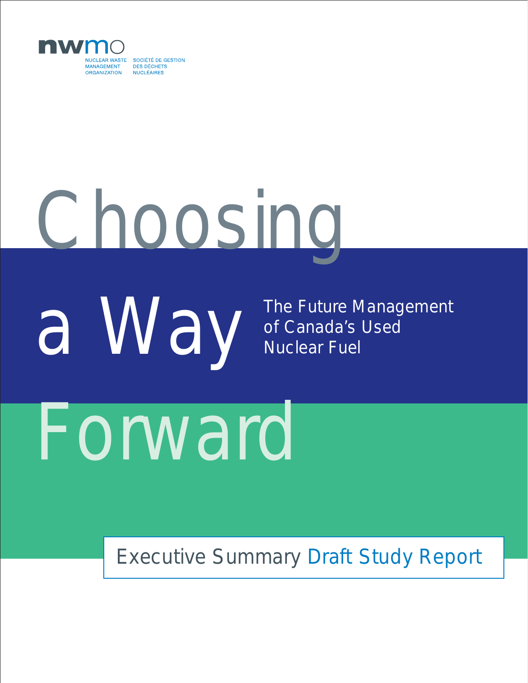

# Choosing

a Way

The Future Management of Canada's Used Nuclear Fuel

## Forward

### Executive Summary Draft Study Report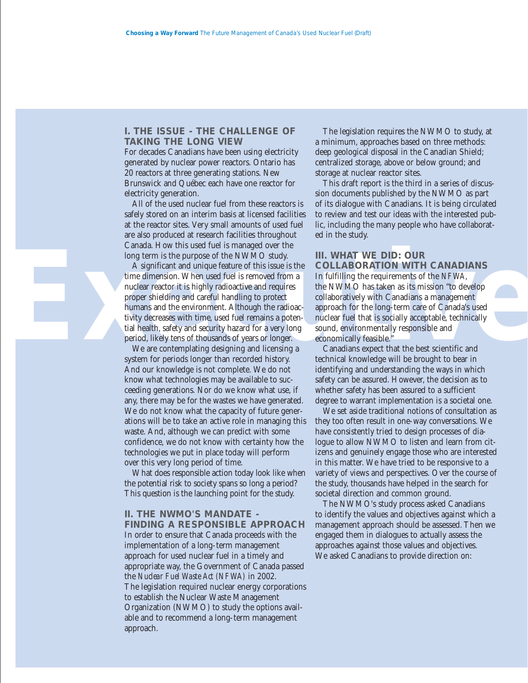#### **I. THE ISSUE - THE CHALLENGE OF TAKING THE LONG VIEW**

For decades Canadians have been using electricity generated by nuclear power reactors. Ontario has 20 reactors at three generating stations. New Brunswick and Québec each have one reactor for electricity generation.

All of the used nuclear fuel from these reactors is safely stored on an interim basis at licensed facilities at the reactor sites. Very small amounts of used fuel are also produced at research facilities throughout Canada. How this used fuel is managed over the long term is the purpose of the NWMO study.

Canada. How this used fuel is managed over the<br>
long term is the purpose of the NWMO study.<br>
A significant and unique feature of this issue is the COLLABORATION WITH CANADIANS<br>
time dimension. When used fuel is removed fro A significant and unique feature of this issue is the time dimension. When used fuel is removed from a nuclear reactor it is highly radioactive and requires proper shielding and careful handling to protect humans and the environment. Although the radioactivity decreases with time, used fuel remains a potential health, safety and security hazard for a very long period, likely tens of thousands of years or longer.

We are contemplating designing and licensing a system for periods longer than recorded history. And our knowledge is not complete. We do not know what technologies may be available to succeeding generations. Nor do we know what use, if any, there may be for the wastes we have generated. We do not know what the capacity of future generations will be to take an active role in managing this waste. And, although we can predict with some confidence, we do not know with certainty how the technologies we put in place today will perform over this very long period of time.

What does responsible action today look like when the potential risk to society spans so long a period? This question is the launching point for the study.

#### **II. THE NWMO'S MANDATE -**

**FINDING A RESPONSIBLE APPROACH** In order to ensure that Canada proceeds with the implementation of a long-term management approach for used nuclear fuel in a timely and appropriate way, the Government of Canada passed the *Nuclear Fuel Waste Act (NFWA)* in 2002. The legislation required nuclear energy corporations to establish the Nuclear Waste Management Organization (NWMO) to study the options available and to recommend a long-term management approach.

The legislation requires the NWMO to study, at a minimum, approaches based on three methods: deep geological disposal in the Canadian Shield; centralized storage, above or below ground; and storage at nuclear reactor sites.

This draft report is the third in a series of discussion documents published by the NWMO as part of its dialogue with Canadians. It is being circulated to review and test our ideas with the interested public, including the many people who have collaborated in the study.

#### **III. WHAT WE DID: OUR**

**COLLABORATION WITH CANADIANS** In fulfilling the requirements of the *NFWA*, the NWMO has taken as its mission "to develop collaboratively with Canadians a management approach for the long-term care of Canada's used nuclear fuel that is socially acceptable, technically sound, environmentally responsible and economically feasible."

Canadians expect that the best scientific and technical knowledge will be brought to bear in identifying and understanding the ways in which safety can be assured. However, the decision as to whether safety has been assured to a sufficient degree to warrant implementation is a societal one.

We set aside traditional notions of consultation as they too often result in one-way conversations. We have consistently tried to design processes of dialogue to allow NWMO to listen and learn from citizens and genuinely engage those who are interested in this matter. We have tried to be responsive to a variety of views and perspectives. Over the course of the study, thousands have helped in the search for societal direction and common ground.

The NWMO's study process asked Canadians to identify the values and objectives against which a management approach should be assessed. Then we engaged them in dialogues to actually assess the approaches against those values and objectives. We asked Canadians to provide direction on: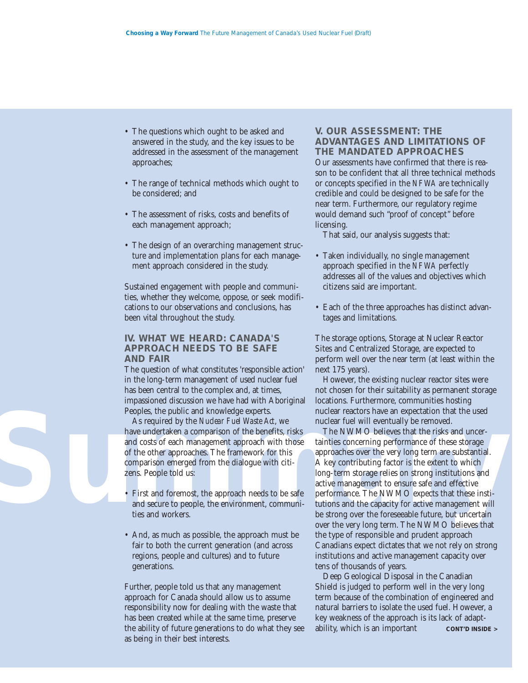- The questions which ought to be asked and answered in the study, and the key issues to be addressed in the assessment of the management approaches;
- The range of technical methods which ought to be considered; and
- The assessment of risks, costs and benefits of each management approach;
- The design of an overarching management structure and implementation plans for each management approach considered in the study.

Sustained engagement with people and communities, whether they welcome, oppose, or seek modifications to our observations and conclusions, has been vital throughout the study.

#### **IV. WHAT WE HEARD: CANADA'S APPROACH NEEDS TO BE SAFE AND FAIR**

The question of what constitutes 'responsible action' in the long-term management of used nuclear fuel has been central to the complex and, at times, impassioned discussion we have had with Aboriginal Peoples, the public and knowledge experts.

As required by the *Nuclear Fuel Waste Act*, we have undertaken a comparison of the benefits, risks and costs of each management approach with those of the other approaches. The framework for this comparison emerged from the dialogue with citizens. People told us:

- First and foremost, the approach needs to be safe and secure to people, the environment, communities and workers.
- And, as much as possible, the approach must be fair to both the current generation (and across regions, people and cultures) and to future generations.

Further, people told us that any management approach for Canada should allow us to assume responsibility now for dealing with the waste that has been created while at the same time, preserve the ability of future generations to do what they see as being in their best interests.

#### **V. OUR ASSESSMENT: THE ADVANTAGES AND LIMITATIONS OF THE MANDATED APPROACHES**

Our assessments have confirmed that there is reason to be confident that all three technical methods or concepts specified in the *NFWA* are technically credible and could be designed to be safe for the near term. Furthermore, our regulatory regime would demand such "proof of concept" before licensing.

That said, our analysis suggests that:

- Taken individually, no single management approach specified in the *NFWA* perfectly addresses all of the values and objectives which citizens said are important.
- Each of the three approaches has distinct advantages and limitations.

The storage options, Storage at Nuclear Reactor Sites and Centralized Storage, are expected to perform well over the near term (at least within the next 175 years).

However, the existing nuclear reactor sites were not chosen for their suitability as permanent storage locations. Furthermore, communities hosting nuclear reactors have an expectation that the used nuclear fuel will eventually be removed.

**Supplies the public and knowledge experts.** The muclear reactors have an expectation that the used<br>
As required by the *Nuclear Fuel Waste Act*, we<br>
are undertaken a comparison of the benefits, risks<br>
and costs of each ma The NWMO believes that the risks and uncertainties concerning performance of these storage approaches over the very long term are substantial. A key contributing factor is the extent to which long-term storage relies on strong institutions and active management to ensure safe and effective performance. The NWMO expects that these institutions and the capacity for active management will be strong over the foreseeable future, but uncertain over the very long term. The NWMO believes that the type of responsible and prudent approach Canadians expect dictates that we not rely on strong institutions and active management capacity over tens of thousands of years.

> Deep Geological Disposal in the Canadian Shield is judged to perform well in the very long term because of the combination of engineered and natural barriers to isolate the used fuel. However, a key weakness of the approach is its lack of adaptability, which is an important **CONT'D INSIDE >**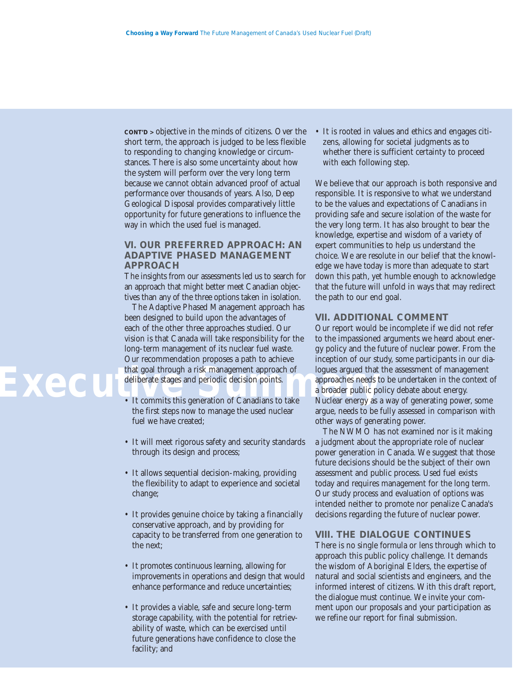**CONT'D >** objective in the minds of citizens. Over the short term, the approach is judged to be less flexible to responding to changing knowledge or circumstances. There is also some uncertainty about how the system will perform over the very long term because we cannot obtain advanced proof of actual performance over thousands of years. Also, Deep Geological Disposal provides comparatively little opportunity for future generations to influence the way in which the used fuel is managed.

#### **VI. OUR PREFERRED APPROACH: AN ADAPTIVE PHASED MANAGEMENT APPROACH**

The insights from our assessments led us to search for an approach that might better meet Canadian objectives than any of the three options taken in isolation.

The Adaptive Phased Management approach has been designed to build upon the advantages of each of the other three approaches studied. Our vision is that Canada will take responsibility for the long-term management of its nuclear fuel waste. Our recommendation proposes a path to achieve that goal through a risk management approach of deliberate stages and periodic decision points.

- It commits this generation of Canadians to take the first steps now to manage the used nuclear fuel we have created;
- It will meet rigorous safety and security standards through its design and process;
- It allows sequential decision-making, providing the flexibility to adapt to experience and societal change;
- It provides genuine choice by taking a financially conservative approach, and by providing for capacity to be transferred from one generation to the next;
- It promotes continuous learning, allowing for improvements in operations and design that would enhance performance and reduce uncertainties;
- It provides a viable, safe and secure long-term storage capability, with the potential for retrievability of waste, which can be exercised until future generations have confidence to close the facility; and

• It is rooted in values and ethics and engages citizens, allowing for societal judgments as to whether there is sufficient certainty to proceed with each following step.

We believe that our approach is both responsive and responsible. It is responsive to what we understand to be the values and expectations of Canadians in providing safe and secure isolation of the waste for the very long term. It has also brought to bear the knowledge, expertise and wisdom of a variety of expert communities to help us understand the choice. We are resolute in our belief that the knowledge we have today is more than adequate to start down this path, yet humble enough to acknowledge that the future will unfold in ways that may redirect the path to our end goal.

#### **VII. ADDITIONAL COMMENT**

Our report would be incomplete if we did not refer to the impassioned arguments we heard about energy policy and the future of nuclear power. From the inception of our study, some participants in our dialogues argued that the assessment of management approaches needs to be undertaken in the context of a broader public policy debate about energy. Nuclear energy as a way of generating power, some argue, needs to be fully assessed in comparison with other ways of generating power.

The NWMO has not examined nor is it making a judgment about the appropriate role of nuclear power generation in Canada. We suggest that those future decisions should be the subject of their own assessment and public process. Used fuel exists today and requires management for the long term. Our study process and evaluation of options was intended neither to promote nor penalize Canada's decisions regarding the future of nuclear power.

#### **VIII. THE DIALOGUE CONTINUES**

There is no single formula or lens through which to approach this public policy challenge. It demands the wisdom of Aboriginal Elders, the expertise of natural and social scientists and engineers, and the informed interest of citizens. With this draft report, the dialogue must continue. We invite your comment upon our proposals and your participation as we refine our report for final submission.

## **Exec**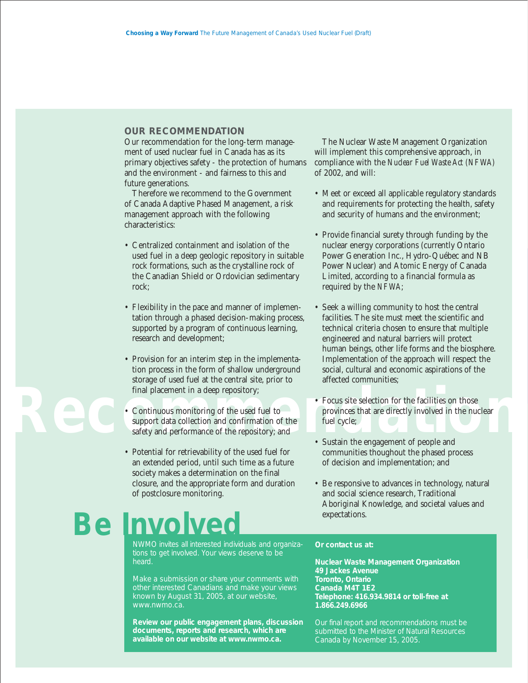#### **OUR RECOMMENDATION**

Our recommendation for the long-term management of used nuclear fuel in Canada has as its primary objectives safety - the protection of humans and the environment - and fairness to this and future generations.

Therefore we recommend to the Government of Canada Adaptive Phased Management, a risk management approach with the following characteristics:

- Centralized containment and isolation of the used fuel in a deep geologic repository in suitable rock formations, such as the crystalline rock of the Canadian Shield or Ordovician sedimentary rock;
- Flexibility in the pace and manner of implementation through a phased decision-making process, supported by a program of continuous learning, research and development;
- Provision for an interim step in the implementation process in the form of shallow underground storage of used fuel at the central site, prior to final placement in a deep repository;
- Continuous monitoring of the used fuel to support data collection and confirmation of the safety and performance of the repository; and
- Potential for retrievability of the used fuel for an extended period, until such time as a future society makes a determination on the final closure, and the appropriate form and duration of postclosure monitoring.

## **Be Involved**

NWMO invites all interested individuals and organizations to get involved. Your views deserve to be heard.

Make a submission or share your comments with other interested Canadians and make your views known by August 31, 2005, at our website, www.nwmo.ca.

**Review our public engagement plans, discussion documents, reports and research, which are available on our website at www.nwmo.ca.**

The Nuclear Waste Management Organization will implement this comprehensive approach, in compliance with the *Nuclear Fuel Waste Act (NFWA)* of 2002, and will:

- Meet or exceed all applicable regulatory standards and requirements for protecting the health, safety and security of humans and the environment;
- Provide financial surety through funding by the nuclear energy corporations (currently Ontario Power Generation Inc., Hydro-Québec and NB Power Nuclear) and Atomic Energy of Canada Limited, according to a financial formula as required by the *NFWA*;
- Seek a willing community to host the central facilities. The site must meet the scientific and technical criteria chosen to ensure that multiple engineered and natural barriers will protect human beings, other life forms and the biosphere. Implementation of the approach will respect the social, cultural and economic aspirations of the affected communities;
- Focus site selection for the facilities on those<br>
Continuous monitoring of the used fuel to<br>
safety and performance of the repository; and<br>
Sustain the engagement of people and<br>
Sustain the engagement of people and<br>
Sustai • Focus site selection for the facilities on those provinces that are directly involved in the nuclear fuel cycle;
	- Sustain the engagement of people and communities thoughout the phased process of decision and implementation; and
	- Be responsive to advances in technology, natural and social science research, Traditional Aboriginal Knowledge, and societal values and expectations.

#### **Or contact us at:**

**Nuclear Waste Management Organization 49 Jackes Avenue Toronto, Ontario Canada M4T 1E2 Telephone: 416.934.9814 or toll-free at 1.866.249.6966**

Our final report and recommendations must be submitted to the Minister of Natural Resources Canada by November 15, 2005.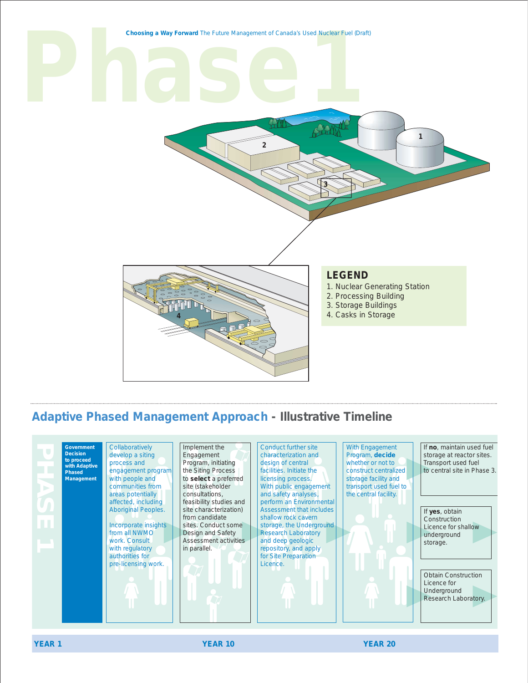

#### **Adaptive Phased Management Approach - Illustrative Timeline**



**YEAR 1 YEAR 10 YEAR 20**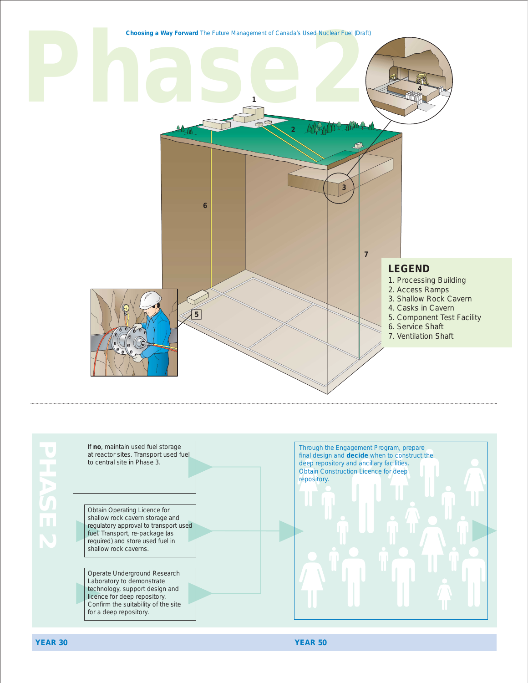**Phase2 Choosing a Way Forward** The Future Management of Canada's Used Nuclear Fuel (Draft) **1 2 3 4 5 6 7 LEGEND**  1. Processing Building 2. Access Ramps 3. Shallow Rock Cavern 4. Casks in Cavern 5. Component Test Facility 6. Service Shaft 7. Ventilation Shaft



**YEAR 30 YEAR 50**